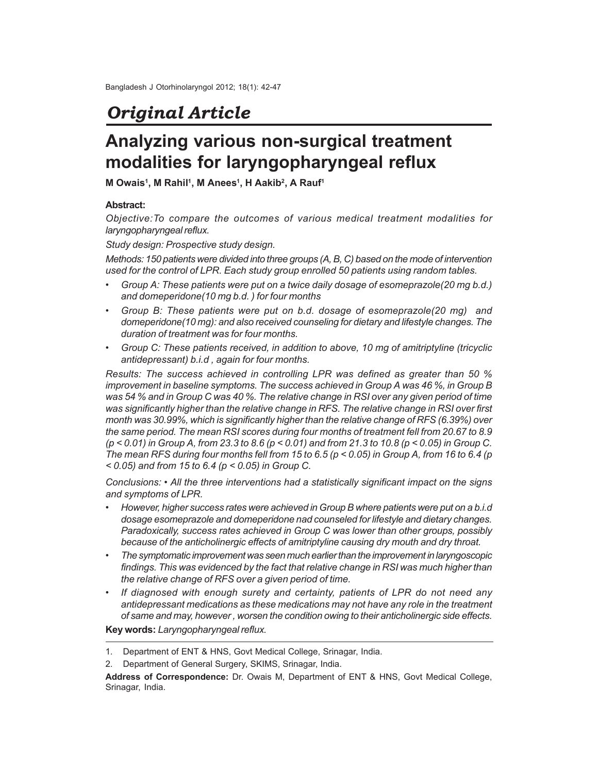# *Original Article*

# **Analyzing various non-surgical treatment modalities for laryngopharyngeal reflux**

**M Owais<sup>1</sup> , M Rahil<sup>1</sup> , M Anees<sup>1</sup> , H Aakib<sup>2</sup> , A Rauf<sup>1</sup>**

## **Abstract:**

*Objective:To compare the outcomes of various medical treatment modalities for laryngopharyngeal reflux.*

*Study design: Prospective study design.*

*Methods: 150 patients were divided into three groups (A, B, C) based on the mode of intervention used for the control of LPR. Each study group enrolled 50 patients using random tables.*

- *• Group A: These patients were put on a twice daily dosage of esomeprazole(20 mg b.d.) and domeperidone(10 mg b.d. ) for four months*
- *• Group B: These patients were put on b.d. dosage of esomeprazole(20 mg) and domeperidone(10 mg): and also received counseling for dietary and lifestyle changes. The duration of treatment was for four months.*
- *• Group C: These patients received, in addition to above, 10 mg of amitriptyline (tricyclic antidepressant) b.i.d , again for four months.*

*Results: The success achieved in controlling LPR was defined as greater than 50 % improvement in baseline symptoms. The success achieved in Group A was 46 %, in Group B was 54 % and in Group C was 40 %. The relative change in RSI over any given period of time was significantly higher than the relative change in RFS. The relative change in RSI over first month was 30.99%, which is significantly higher than the relative change of RFS (6.39%) over the same period. The mean RSI scores during four months of treatment fell from 20.67 to 8.9 (p < 0.01) in Group A, from 23.3 to 8.6 (p < 0.01) and from 21.3 to 10.8 (p < 0.05) in Group C. The mean RFS during four months fell from 15 to 6.5 (p < 0.05) in Group A, from 16 to 6.4 (p < 0.05) and from 15 to 6.4 (p < 0.05) in Group C.*

*Conclusions: • All the three interventions had a statistically significant impact on the signs and symptoms of LPR.*

- *• However, higher success rates were achieved in Group B where patients were put on a b.i.d dosage esomeprazole and domeperidone nad counseled for lifestyle and dietary changes. Paradoxically, success rates achieved in Group C was lower than other groups, possibly because of the anticholinergic effects of amitriptyline causing dry mouth and dry throat.*
- *• The symptomatic improvement was seen much earlier than the improvement in laryngoscopic findings. This was evidenced by the fact that relative change in RSI was much higher than the relative change of RFS over a given period of time.*
- *• If diagnosed with enough surety and certainty, patients of LPR do not need any antidepressant medications as these medications may not have any role in the treatment of same and may, however , worsen the condition owing to their anticholinergic side effects.*

**Key words:***Laryngopharyngeal reflux.*

2. Department of General Surgery, SKIMS, Srinagar, India.

<sup>1.</sup> Department of ENT & HNS, Govt Medical College, Srinagar, India.

**Address of Correspondence:** Dr. Owais M, Department of ENT & HNS, Govt Medical College, Srinagar, India.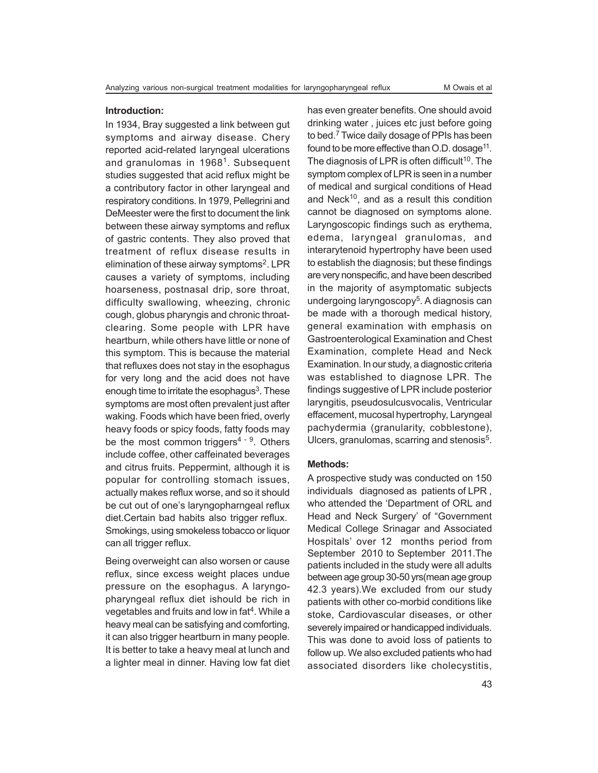### **Introduction:**

In 1934, Bray suggested a link between gut symptoms and airway disease. Chery reported acid-related laryngeal ulcerations and granulomas in 1968<sup>1</sup>. Subsequent studies suggested that acid reflux might be a contributory factor in other laryngeal and respiratory conditions. In 1979, Pellegrini and DeMeester were the first to document the link between these airway symptoms and reflux of gastric contents. They also proved that treatment of reflux disease results in elimination of these airway symptoms<sup>2</sup>. LPR causes a variety of symptoms, including hoarseness, postnasal drip, sore throat, difficulty swallowing, wheezing, chronic cough, globus pharyngis and chronic throatclearing. Some people with LPR have heartburn, while others have little or none of this symptom. This is because the material that refluxes does not stay in the esophagus for very long and the acid does not have enough time to irritate the esophagus<sup>3</sup>. These symptoms are most often prevalent just after waking. Foods which have been fried, overly heavy foods or spicy foods, fatty foods may be the most common triggers<sup>4 - 9</sup>. Others include coffee, other caffeinated beverages and citrus fruits. Peppermint, although it is popular for controlling stomach issues, actually makes reflux worse, and so it should be cut out of one's laryngopharngeal reflux diet.Certain bad habits also trigger reflux. Smokings, using smokeless tobacco or liquor can all trigger reflux.

Being overweight can also worsen or cause reflux, since excess weight places undue pressure on the esophagus. A laryngopharyngeal reflux diet ishould be rich in vegetables and fruits and low in fat<sup>4</sup>. While a heavy meal can be satisfying and comforting, it can also trigger heartburn in many people. It is better to take a heavy meal at lunch and a lighter meal in dinner. Having low fat diet has even greater benefits. One should avoid drinking water , juices etc just before going to bed.<sup>7</sup> Twice daily dosage of PPIs has been found to be more effective than O.D. dosage<sup>11</sup>. The diagnosis of LPR is often difficult<sup>10</sup>. The symptom complex of LPR is seen in a number of medical and surgical conditions of Head and Neck<sup>10</sup>, and as a result this condition cannot be diagnosed on symptoms alone. Laryngoscopic findings such as erythema, edema, laryngeal granulomas, and interarytenoid hypertrophy have been used to establish the diagnosis; but these findings are very nonspecific, and have been described in the majority of asymptomatic subjects undergoing laryngoscopy<sup>5</sup>. A diagnosis can be made with a thorough medical history, general examination with emphasis on Gastroenterological Examination and Chest Examination, complete Head and Neck Examination. In our study, a diagnostic criteria was established to diagnose LPR. The findings suggestive of LPR include posterior laryngitis, pseudosulcusvocalis, Ventricular effacement, mucosal hypertrophy, Laryngeal pachydermia (granularity, cobblestone), Ulcers, granulomas, scarring and stenosis<sup>5</sup>.

## **Methods:**

A prospective study was conducted on 150 individuals diagnosed as patients of LPR , who attended the 'Department of ORL and Head and Neck Surgery' of "Government Medical College Srinagar and Associated Hospitals' over 12 months period from September 2010 to September 2011.The patients included in the study were all adults between age group 30-50 yrs(mean age group 42.3 years).We excluded from our study patients with other co-morbid conditions like stoke, Cardiovascular diseases, or other severely impaired or handicapped individuals. This was done to avoid loss of patients to follow up. We also excluded patients who had associated disorders like cholecystitis,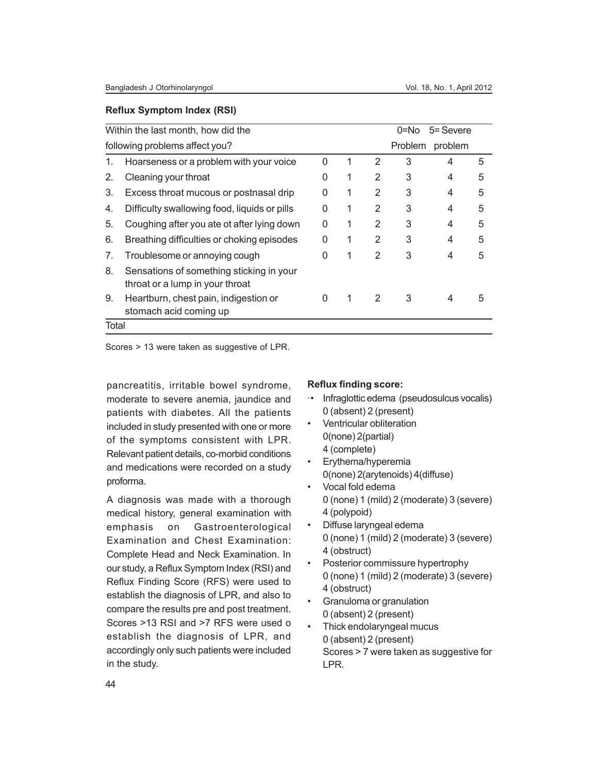#### **Reflux Symptom Index (RSI)**

|                                | Within the last month, how did the<br>5= Severe<br>0=No                     |   |   |   |         |         |   |
|--------------------------------|-----------------------------------------------------------------------------|---|---|---|---------|---------|---|
| following problems affect you? |                                                                             |   |   |   | Problem | problem |   |
| 1.                             | Hoarseness or a problem with your voice                                     | 0 |   | 2 | 3       | 4       | 5 |
| 2.                             | Cleaning your throat                                                        | 0 | 1 | 2 | 3       | 4       | 5 |
| 3.                             | Excess throat mucous or postnasal drip                                      | 0 | 1 | 2 | 3       | 4       | 5 |
| 4.                             | Difficulty swallowing food, liquids or pills                                | ∩ | 1 | 2 | 3       | 4       | 5 |
| 5.                             | Coughing after you ate ot after lying down                                  | ∩ | 1 | 2 | 3       | 4       | 5 |
| 6.                             | Breathing difficulties or choking episodes                                  | 0 | 1 | 2 | 3       | 4       | 5 |
| 7.                             | Troublesome or annoying cough                                               | 0 | 1 | 2 | 3       | 4       | 5 |
| 8.                             | Sensations of something sticking in your<br>throat or a lump in your throat |   |   |   |         |         |   |
| 9.                             | Heartburn, chest pain, indigestion or<br>stomach acid coming up             |   | 1 | 2 | 3       | 4       | 5 |
| Total                          |                                                                             |   |   |   |         |         |   |

Scores > 13 were taken as suggestive of LPR.

pancreatitis, irritable bowel syndrome, moderate to severe anemia, jaundice and patients with diabetes. All the patients included in study presented with one or more of the symptoms consistent with LPR. Relevant patient details, co-morbid conditions and medications were recorded on a study proforma.

A diagnosis was made with a thorough medical history, general examination with emphasis on Gastroenterological Examination and Chest Examination: Complete Head and Neck Examination. In our study, a Reflux Symptom Index (RSI) and Reflux Finding Score (RFS) were used to establish the diagnosis of LPR, and also to compare the results pre and post treatment. Scores >13 RSI and >7 RFS were used o establish the diagnosis of LPR, and accordingly only such patients were included in the study.

#### **Reflux finding score:**

- ·• Infraglottic edema (pseudosulcus vocalis) 0 (absent) 2 (present)
- Ventricular obliteration 0(none) 2(partial) 4 (complete)
- Erythema/hyperemia 0(none) 2(arytenoids) 4(diffuse)
- Vocal fold edema 0 (none) 1 (mild) 2 (moderate) 3 (severe) 4 (polypoid)
- Diffuse laryngeal edema 0 (none) 1 (mild) 2 (moderate) 3 (severe) 4 (obstruct)
- Posterior commissure hypertrophy 0 (none) 1 (mild) 2 (moderate) 3 (severe) 4 (obstruct)
- Granuloma or granulation 0 (absent) 2 (present)
- Thick endolaryngeal mucus 0 (absent) 2 (present) Scores > 7 were taken as suggestive for LPR.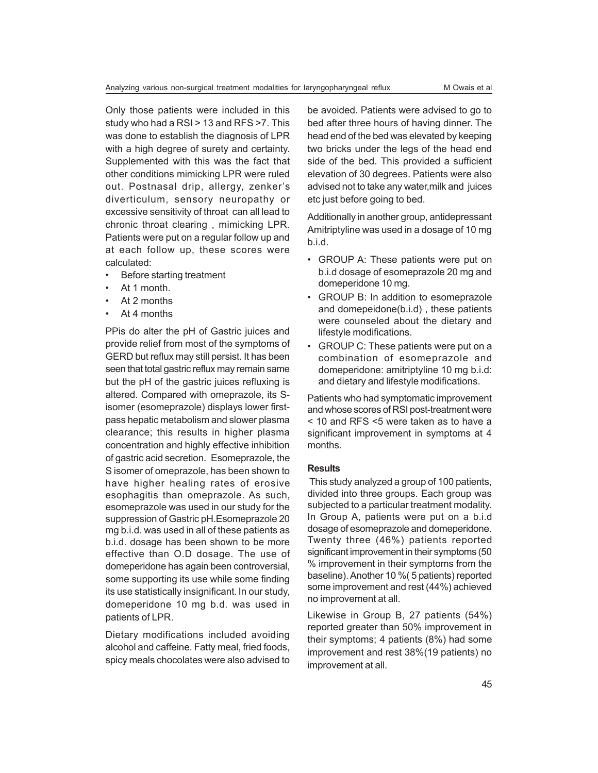Only those patients were included in this study who had a RSI > 13 and RFS >7. This was done to establish the diagnosis of LPR with a high degree of surety and certainty. Supplemented with this was the fact that other conditions mimicking LPR were ruled out. Postnasal drip, allergy, zenker's diverticulum, sensory neuropathy or excessive sensitivity of throat can all lead to chronic throat clearing , mimicking LPR. Patients were put on a regular follow up and at each follow up, these scores were calculated:

- Before starting treatment
- At 1 month.
- At 2 months
- At 4 months

PPis do alter the pH of Gastric juices and provide relief from most of the symptoms of GERD but reflux may still persist. It has been seen that total gastric reflux may remain same but the pH of the gastric juices refluxing is altered. Compared with omeprazole, its Sisomer (esomeprazole) displays lower firstpass hepatic metabolism and slower plasma clearance; this results in higher plasma concentration and highly effective inhibition of gastric acid secretion.Esomeprazole, the S isomer of omeprazole, has been shown to have higher healing rates of erosive esophagitis than omeprazole. As such, esomeprazole was used in our study for the suppression of Gastric pH.Esomeprazole 20 mg b.i.d. was used in all of these patients as b.i.d. dosage has been shown to be more effective than O.D dosage. The use of domeperidone has again been controversial, some supporting its use while some finding its use statistically insignificant. In our study, domeperidone 10 mg b.d. was used in patients of LPR.

Dietary modifications included avoiding alcohol and caffeine. Fatty meal, fried foods, spicy meals chocolates were also advised to

be avoided. Patients were advised to go to bed after three hours of having dinner. The head end of the bed was elevated by keeping two bricks under the legs of the head end side of the bed. This provided a sufficient elevation of 30 degrees. Patients were also advised not to take any water,milk and juices etc just before going to bed.

Additionally in another group, antidepressant Amitriptyline was used in a dosage of 10 mg b.i.d.

- GROUP A: These patients were put on b.i.d dosage of esomeprazole 20 mg and domeperidone 10 mg.
- GROUP B: In addition to esomeprazole and domepeidone(b.i.d) , these patients were counseled about the dietary and lifestyle modifications.
- GROUP C: These patients were put on a combination of esomeprazole and domeperidone: amitriptyline 10 mg b.i.d: and dietary and lifestyle modifications.

Patients who had symptomatic improvement and whose scores of RSI post-treatment were < 10 and RFS <5 were taken as to have a significant improvement in symptoms at 4 months.

#### **Results**

 This study analyzed a group of 100 patients, divided into three groups. Each group was subjected to a particular treatment modality. In Group A, patients were put on a b.i.d dosage of esomeprazole and domeperidone. Twenty three (46%) patients reported significant improvement in their symptoms (50 % improvement in their symptoms from the baseline). Another 10 %( 5 patients) reported some improvement and rest (44%) achieved no improvement at all.

Likewise in Group B, 27 patients (54%) reported greater than 50% improvement in their symptoms; 4 patients (8%) had some improvement and rest 38%(19 patients) no improvement at all.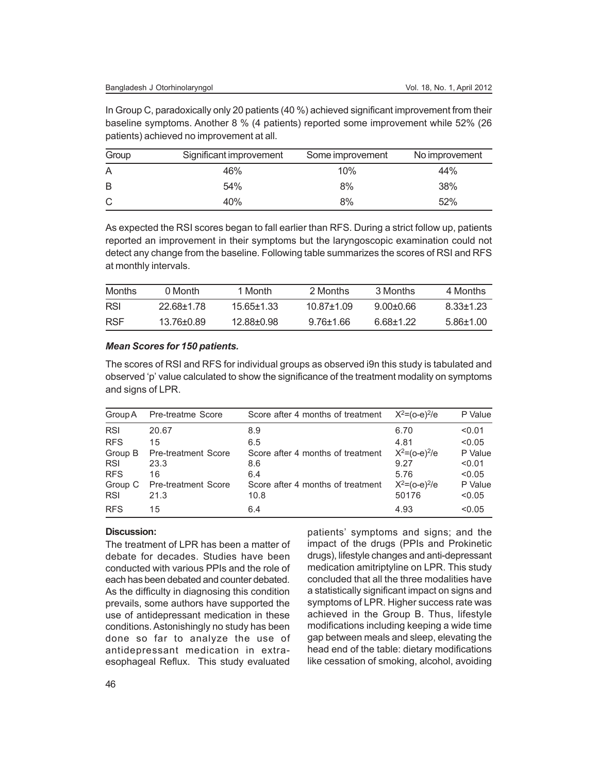In Group C, paradoxically only 20 patients (40 %) achieved significant improvement from their baseline symptoms. Another 8 % (4 patients) reported some improvement while 52% (26 patients) achieved no improvement at all.

| Group | Significant improvement | Some improvement | No improvement |
|-------|-------------------------|------------------|----------------|
|       | 46%                     | 10%              | 44%            |
| B     | 54%                     | 8%               | 38%            |
| C     | 40%                     | 8%               | 52%            |

As expected the RSI scores began to fall earlier than RFS. During a strict follow up, patients reported an improvement in their symptoms but the laryngoscopic examination could not detect any change from the baseline. Following table summarizes the scores of RSI and RFS at monthly intervals.

| Months     | 0 Month    | 1 Month    | 2 Months       | 3 Months   | 4 Months      |
|------------|------------|------------|----------------|------------|---------------|
| RSL        | 22.68+1.78 | $1565+133$ | $10.87 + 1.09$ | $900+06$   | 8 33+1 23     |
| <b>RSF</b> | 13.76+0.89 | 12.88+0.98 | $976+166$      | ი იგა 1 22 | $5.86 + 1.00$ |

#### *Mean Scores for 150 patients.*

The scores of RSI and RFS for individual groups as observed i9n this study is tabulated and observed 'p' value calculated to show the significance of the treatment modality on symptoms and signs of LPR.

| Group A    | Pre-treatme Score          | Score after 4 months of treatment | $X^2 = (o-e)^2/e$ | P Value |
|------------|----------------------------|-----------------------------------|-------------------|---------|
| <b>RSI</b> | 20.67                      | 8.9                               | 6.70              | < 0.01  |
| <b>RFS</b> | 15                         | 6.5                               | 4.81              | < 0.05  |
| Group B    | Pre-treatment Score        | Score after 4 months of treatment | $X^2=(o-e)^2/e$   | P Value |
| <b>RSI</b> | 23.3                       | 8.6                               | 9.27              | < 0.01  |
| <b>RFS</b> | 16                         | 6.4                               | 5.76              | < 0.05  |
| Group C    | <b>Pre-treatment Score</b> | Score after 4 months of treatment | $X^2=(o-e)^2/e$   | P Value |
| <b>RSI</b> | 21.3                       | 10.8                              | 50176             | < 0.05  |
| <b>RFS</b> | 15                         | 6.4                               | 4.93              | < 0.05  |

# **Discussion:**

The treatment of LPR has been a matter of debate for decades. Studies have been conducted with various PPIs and the role of each has been debated and counter debated. As the difficulty in diagnosing this condition prevails, some authors have supported the use of antidepressant medication in these conditions. Astonishingly no study has been done so far to analyze the use of antidepressant medication in extraesophageal Reflux. This study evaluated patients' symptoms and signs; and the impact of the drugs (PPIs and Prokinetic drugs), lifestyle changes and anti-depressant medication amitriptyline on LPR. This study concluded that all the three modalities have a statistically significant impact on signs and symptoms of LPR. Higher success rate was achieved in the Group B. Thus, lifestyle modifications including keeping a wide time gap between meals and sleep, elevating the head end of the table: dietary modifications like cessation of smoking, alcohol, avoiding